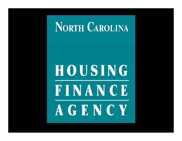## **NORTH CAROLINA**

# HOUSING FINANCE AGENCY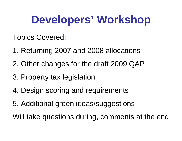## **Developers' Workshop**

Topics Covered:

- 1. Returning 2007 and 2008 allocations
- 2. Other changes for the draft 2009 QAP
- 3. Property tax legislation
- 4. Design scoring and requirements
- 5. Additional green ideas/suggestions

Will take questions during, comments at the end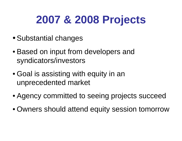# **2007 & 2008 Projects**

- Substantial changes
- Based on input from developers and syndicators/investors
- Goal is assisting with equity in an unprecedented market
- Agency committed to seeing projects succeed
- Owners should attend equity session tomorrow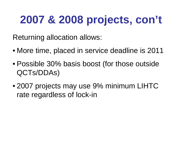# **2007 & 2008 projects, con't**

Returning allocation allows:

- More time, placed in service deadline is 2011
- Possible 30% basis boost (for those outside QCTs/DDAs)
- 2007 projects may use 9% minimum LIHTC rate regardless of lock-in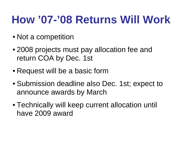## **How '07-'08 Returns Will Work**

- Not a competition
- 2008 projects must pay allocation fee and return COA b y Dec. 1st
- Request will be a basic form
- Submission deadline also Dec. 1st; expect to announce awards by March
- Technically will keep current allocation until have 2009 award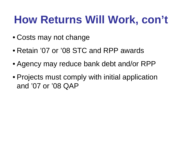## **How Returns Will Work, con't**

- Costs may not change
- Retain '07 or '08 STC and RPP awards
- Agency may reduce bank debt and/or RPP
- $\bullet$  Projects must comply with initial application and '07 or '08 QAP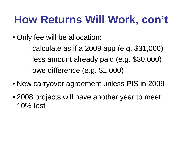## **How Returns Will Work, con't**

- Only fee will be allocation:
	- –calculate as if a 2009 app (e.g. \$31,000)
	- –less amount already paid (e.g. \$30,000)

–owe difference (e.g. \$1,000)

- New carryover agreement unless PIS in 2009
- $\bullet$  2008 projects will have another year to meet 10% test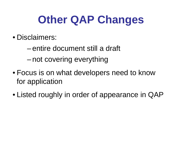## **Other QAP Changes**

- Disclaimers:
	- – entire document still a draft –—not covering everything
- Focus is on what developers need to know for application
- Listed roughly in order of appearance in QAP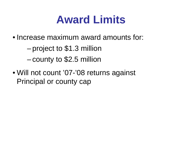#### **Award Limits**

• Increase maximum award amounts for:

–project to \$1.3 million

– $-$  county to  $\$2.5$  million

• Will not count '07-'08 returns against Principal or county cap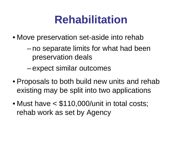#### **Rehabilitation**

- Move preservation set-aside into rehab
	- – no separate limits for what had been preservation deals
	- –expect similar outcomes
- $\bullet$  Proposals to both build new units and rehab existing may be split into two applications
- • Must have < \$110,000/unit in total costs; rehab work as set by Agency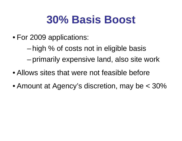## **30% Basis Boost**

• For 2009 applications:

– high % of costs not in eligible basis –primarily expensive land, also site work

- Allows sites that were not feasible before
- Amount at Agency's discretion, may be < 30%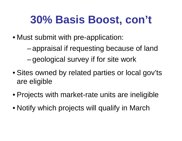## **30% Basis Boost, con't**

- Must submit with pre-application:
	- – appraisal if requesting because of land – $-$ geological survey if for site work
- Sites owned by related parties or local gov'ts are eligible
- $\bullet$  Projects with market-rate units are ineligible
- Notify which projects will qualify in March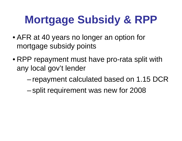# **Mortgage Subsidy & RPP**

- AFR at 40 years no longer an option for mortgage subsidy points
- $\bullet$  RPP repayment must have pro-rata split with any local gov't lender
	- – $-$ repayment calculated based on 1.15 DCR  $\,$
	- –split requirement was new for 2008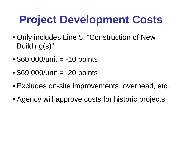# **Project Development Costs**

- Only includes Line 5, "Construction of New Building(s)"
- • $\bullet$  \$60,000/unit = -10 points
- $\bullet$ \$69,000/unit = -20 points
- Excludes on-site improvements, overhead, etc.
- Agency will approve costs for historic projects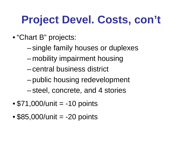# **Project Devel. Costs, con't**

- "Chart B" projects:
	- –single family houses or duplexes
	- –– mobility impairment housing
	- –central business district
	- –public housing redevelopment
	- –steel, concrete, and 4 stories
- •\$71,000/unit = -10 points
- $\bullet$  $\bullet$  \$85,000/unit = -20 points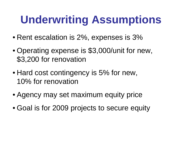# **Underwriting Assumptions**

- Rent escalation is 2%, expenses is 3%
- $\bullet$  Operating expense is \$3,000/unit for new, \$3,200 for renovation
- Hard cost contingency is 5% for new, 10% for renovation
- Agency may set maximum equity price
- Goal is for 2009 projects to secure equity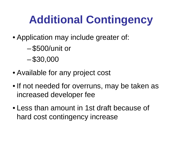# **Additional Contingency**

- Application may include greater of:
	- –\$500/unit or
	- –\$30,000
- Available for any project cost
- If not needed for overruns, may be taken as increased developer fee
- Less than amount in 1st draft because of hard cost contingency increase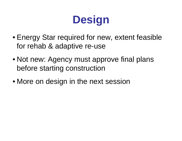# **Design**

- Energy Star required for new, extent feasible for rehab & adaptive re-use
- Not new: Agency must approve final plans before starting construction
- $\bullet$  More on design in the next session